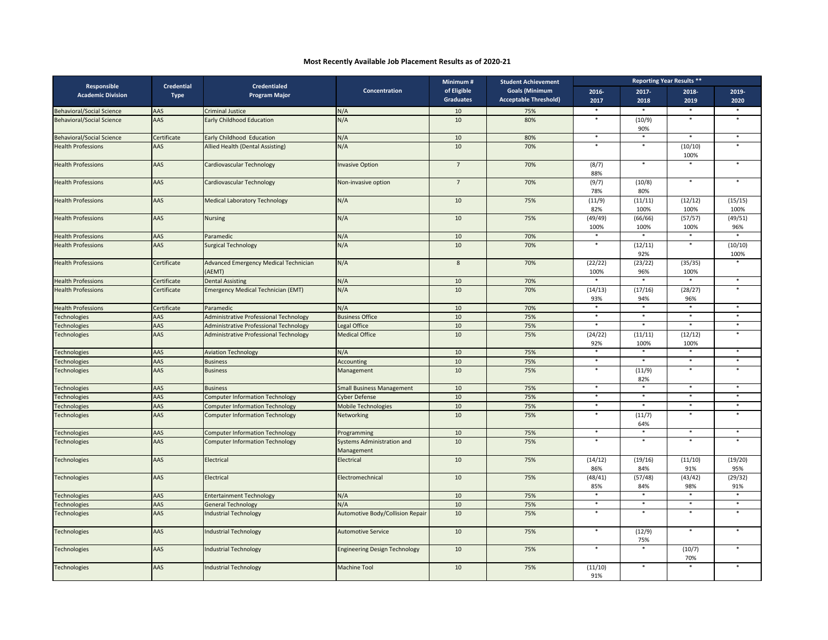## **Most Recently Available Job Placement Results as of 2020‐21**

| <b>Responsible</b><br><b>Academic Division</b> | <b>Credential</b><br><b>Type</b> | <b>Credentialed</b><br><b>Program Major</b>            | Concentration                                   | Minimum#<br>of Eligible<br><b>Graduates</b> | <b>Student Achievement</b><br><b>Goals (Minimum</b> | <b>Reporting Year Results **</b> |                          |                          |                 |
|------------------------------------------------|----------------------------------|--------------------------------------------------------|-------------------------------------------------|---------------------------------------------|-----------------------------------------------------|----------------------------------|--------------------------|--------------------------|-----------------|
|                                                |                                  |                                                        |                                                 |                                             |                                                     | 2016-                            | 2017-                    | 2018-                    | 2019-           |
|                                                |                                  |                                                        |                                                 |                                             | <b>Acceptable Threshold)</b>                        | 2017                             | 2018                     | 2019                     | 2020            |
| <b>Behavioral/Social Science</b>               | AAS                              | <b>Criminal Justice</b>                                | N/A                                             | 10                                          | 75%                                                 | $\ast$                           |                          | $\ast$                   |                 |
| <b>Behavioral/Social Science</b>               | AAS                              | <b>Early Childhood Education</b>                       | N/A                                             | 10                                          | 80%                                                 | $\ast$                           | (10/9)<br>90%            | $\ast$                   | $\ast$          |
| <b>Behavioral/Social Science</b>               | Certificate                      | Early Childhood Education                              | N/A                                             | 10                                          | 80%                                                 | $\ast$                           | $\ast$                   | $\ast$                   | $\ast$          |
| <b>Health Professions</b>                      | <b>AAS</b>                       | Allied Health (Dental Assisting)                       | N/A                                             | 10                                          | 70%                                                 | $\ast$                           | $\ast$                   | (10/10)<br>100%          | $\ast$          |
| <b>Health Professions</b>                      | AAS                              | Cardiovascular Technology                              | <b>Invasive Option</b>                          | $\overline{7}$                              | 70%                                                 | (8/7)<br>88%                     | $\ast$                   | $\ast$                   |                 |
| <b>Health Professions</b>                      | AAS                              | Cardiovascular Technology                              | Non-invasive option                             | $7\overline{ }$                             | 70%                                                 | (9/7)<br>78%                     | (10/8)<br>80%            | $\ast$                   | $\ast$          |
| <b>Health Professions</b>                      | AAS                              | <b>Medical Laboratory Technology</b>                   | N/A                                             | 10                                          | 75%                                                 | (11/9)<br>82%                    | (11/11)<br>100%          | (12/12)<br>100%          | (15/15)<br>100% |
| <b>Health Professions</b>                      | AAS                              | <b>Nursing</b>                                         | N/A                                             | 10                                          | 75%                                                 | (49/49)<br>100%                  | (66/66)<br>100%          | (57/57)<br>100%          | (49/51)<br>96%  |
| <b>Health Professions</b>                      | AAS                              | Paramedic                                              | N/A                                             | 10                                          | 70%                                                 | $\ast$                           |                          | $\ast$                   | $\ast$          |
| <b>Health Professions</b>                      | AAS                              | <b>Surgical Technology</b>                             | N/A                                             | 10                                          | 70%                                                 | $\ast$                           | (12/11)<br>92%           | $\ast$                   | (10/10)<br>100% |
| <b>Health Professions</b>                      | Certificate                      | <b>Advanced Emergency Medical Technician</b><br>(AEMT) | N/A                                             | 8                                           | 70%                                                 | (22/22)<br>100%                  | (23/22)<br>96%           | (35/35)<br>100%          |                 |
| <b>Health Professions</b>                      | Certificate                      | <b>Dental Assisting</b>                                | N/A                                             | 10                                          | 70%                                                 | $\ast$                           | $\ast$                   | $\ast$                   | $\ast$          |
| <b>Health Professions</b>                      | Certificate                      | <b>Emergency Medical Technician (EMT)</b>              | N/A                                             | 10                                          | 70%                                                 | (14/13)<br>93%                   | (17/16)<br>94%           | (28/27)<br>96%           | $\ast$          |
| <b>Health Professions</b>                      | Certificate                      | Paramedic                                              | N/A                                             | 10                                          | 70%                                                 | $\ast$                           | $\ast$                   | $\ast$                   | $\ast$          |
| <b>Fechnologies</b>                            | AAS                              | <b>Administrative Professional Technology</b>          | <b>Business Office</b>                          | 10                                          | 75%                                                 | $\ast$                           | $\ast$                   | $\ast$                   | $\ast$          |
| Technologies                                   | AAS                              | <b>Administrative Professional Technology</b>          | Legal Office                                    | 10                                          | 75%                                                 | $\ast$                           | $\ast$                   | $\ast$                   | $\ast$          |
| <b>Fechnologies</b>                            | AAS                              | <b>Administrative Professional Technology</b>          | <b>Medical Office</b>                           | 10                                          | 75%                                                 | (24/22)<br>92%                   | (11/11)<br>100%          | (12/12)<br>100%          | $\ast$          |
| <b>Fechnologies</b>                            | AAS                              | <b>Aviation Technology</b>                             | N/A                                             | 10                                          | 75%                                                 |                                  |                          |                          |                 |
| <b>Fechnologies</b>                            | AAS                              | <b>Business</b>                                        | Accounting                                      | 10                                          | 75%                                                 | $\ast$                           | $\overline{\phantom{a}}$ | $\ast$                   | $\ast$          |
| <b>Fechnologies</b>                            | AAS                              | <b>Business</b>                                        | Management                                      | 10                                          | 75%                                                 | $\ast$                           | (11/9)<br>82%            | $\ast$                   | $\ast$          |
| <b>Fechnologies</b>                            | AAS                              | <b>Business</b>                                        | <b>Small Business Management</b>                | 10                                          | 75%                                                 | $\overline{\phantom{a}}$         | $\overline{\phantom{a}}$ | $\overline{\phantom{a}}$ | $\ast$          |
| <b>Fechnologies</b>                            | AAS                              | <b>Computer Information Technology</b>                 | <b>Cyber Defense</b>                            | 10                                          | 75%                                                 | $\ast$                           | $\ast$                   | $\ast$                   | $\ast$          |
| <b>Fechnologies</b>                            | AAS                              | <b>Computer Information Technology</b>                 | Mobile Technologies                             | 10                                          | 75%                                                 | $\star$                          | $\star$                  | $\star$                  | $\star$         |
| <b>Fechnologies</b>                            | AAS                              | <b>Computer Information Technology</b>                 | Networking                                      | 10                                          | 75%                                                 | $\ast$                           | (11/7)<br>64%            | $\ast$                   | $\ast$          |
| <b>Fechnologies</b>                            | AAS                              | <b>Computer Information Technology</b>                 | Programming                                     | 10                                          | 75%                                                 | $\star$                          | $\star$                  | $\ast$                   | $\star$         |
| Technologies                                   | AAS                              | <b>Computer Information Technology</b>                 | <b>Systems Administration and</b><br>Management | 10                                          | 75%                                                 | $\ast$                           | $\ast$                   | $\ast$                   | $\star$         |
| <b>Fechnologies</b>                            | AAS                              | Electrical                                             | Electrical                                      | 10                                          | 75%                                                 | (14/12)<br>86%                   | (19/16)<br>84%           | (11/10)<br>91%           | (19/20)<br>95%  |
| <b>Fechnologies</b>                            | AAS                              | Electrical                                             | Electromechnical                                | 10                                          | 75%                                                 | (48/41)<br>85%                   | (57/48)<br>84%           | (43/42)<br>98%           | (29/32)<br>91%  |
| <b>Fechnologies</b>                            | AAS                              | <b>Entertainment Technology</b>                        | N/A                                             | 10                                          | 75%                                                 | $\ast$                           | $\ast$                   | $\ast$                   | $\ast$          |
| <b>Fechnologies</b>                            | AAS                              | <b>General Technology</b>                              | N/A                                             | 10                                          | 75%                                                 | $\ast$                           | $\ast$                   | $\ast$                   | $\ast$          |
| <b>Fechnologies</b>                            | AAS                              | <b>Industrial Technology</b>                           | <b>Automotive Body/Collision Repair</b>         | 10                                          | 75%                                                 | $\ast$                           | $\ast$                   | $\ast$                   | $\ast$          |
| <b>Fechnologies</b>                            | AAS                              | <b>Industrial Technology</b>                           | <b>Automotive Service</b>                       | 10                                          | 75%                                                 | $\ast$                           | (12/9)<br>75%            | $\ast$                   | $\ast$          |
| Technologies                                   | AAS                              | <b>Industrial Technology</b>                           | <b>Engineering Design Technology</b>            | 10                                          | 75%                                                 | $\ast$                           | $\ast$                   | (10/7)<br>70%            | $\ast$          |
| <b>Technologies</b>                            | AAS                              | <b>Industrial Technology</b>                           | <b>Machine Tool</b>                             | 10                                          | 75%                                                 | (11/10)<br>91%                   | $\ast$                   | $\ast$                   | $\ast$          |